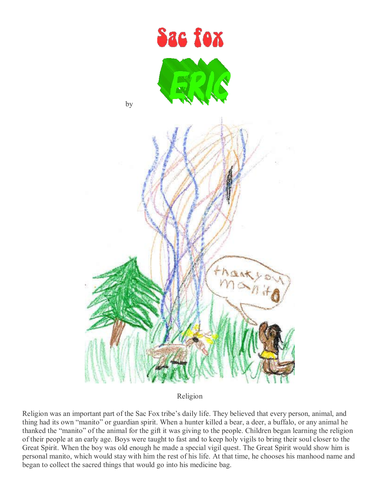

Religion

Religion was an important part of the Sac Fox tribe's daily life. They believed that every person, animal, and thing had its own "manito" or guardian spirit. When a hunter killed a bear, a deer, a buffalo, or any animal he thanked the "manito" of the animal for the gift it was giving to the people. Children began learning the religion of their people at an early age. Boys were taught to fast and to keep holy vigils to bring their soul closer to the Great Spirit. When the boy was old enough he made a special vigil quest. The Great Spirit would show him is personal manito, which would stay with him the rest of his life. At that time, he chooses his manhood name and began to collect the sacred things that would go into his medicine bag.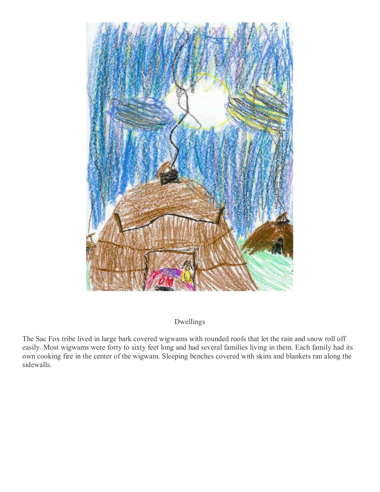

Dwellings

The Sac Fox tribe lived in large bark covered wigwams with rounded roofs that let the rain and snow roll off easily. Most wigwams were forty to sixty feet long and had several families living in them. Each family had its own cooking fire in the center of the wigwam. Sleeping benches covered with skins and blankets ran along the sidewalls.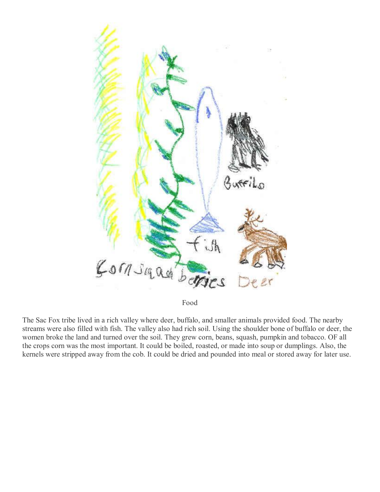

Food

The Sac Fox tribe lived in a rich valley where deer, buffalo, and smaller animals provided food. The nearby streams were also filled with fish. The valley also had rich soil. Using the shoulder bone of buffalo or deer, the women broke the land and turned over the soil. They grew corn, beans, squash, pumpkin and tobacco. OF all the crops corn was the most important. It could be boiled, roasted, or made into soup or dumplings. Also, the kernels were stripped away from the cob. It could be dried and pounded into meal or stored away for later use.